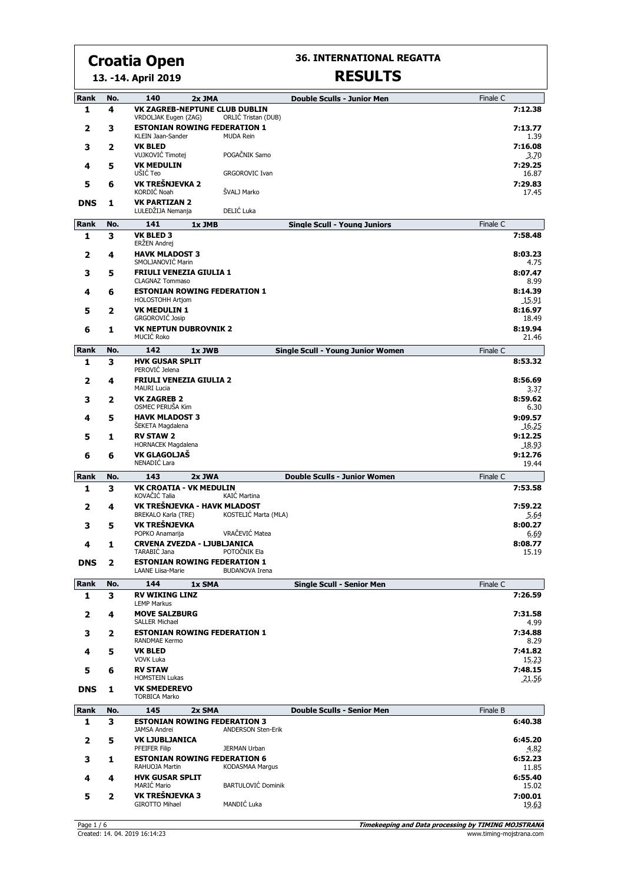**36. INTERNATIONAL REGATTA**

#### **13. -14. April 2019**

| <b>Rank</b> | No.      | 140<br><b>Double Sculls - Junior Men</b><br>2x JMA                                           | Finale C            |
|-------------|----------|----------------------------------------------------------------------------------------------|---------------------|
| 1           | 4        | VK ZAGREB-NEPTUNE CLUB DUBLIN<br>ORLIĆ Tristan (DUB)<br>VRDOLJAK Eugen (ZAG)                 | 7:12.38             |
| 2           | 3        | <b>ESTONIAN ROWING FEDERATION 1</b><br>KLEIN Jaan-Sander<br><b>MUDA Rein</b>                 | 7:13.77<br>1.39     |
| 3           | 2        | <b>VK BLED</b>                                                                               | 7:16.08             |
| 4           | 5        | POGAČNIK Samo<br>VUJKOVIĆ Timotej<br><b>VK MEDULIN</b><br>UŠIĆ Teo                           | 3.70<br>7:29.25     |
| 5           | 6        | <b>GRGOROVIC Ivan</b><br>VK TREŠNJEVKA 2                                                     | 16.87<br>7:29.83    |
| <b>DNS</b>  | 1        | ŠVALJ Marko<br>KORDIĆ Noah<br><b>VK PARTIZAN 2</b>                                           | 17.45               |
|             |          | DELIĆ Luka<br>LULEDŽIJA Nemanja                                                              |                     |
| Rank        | No.      | 141<br>1x JMB<br><b>Single Scull - Young Juniors</b>                                         | Finale C            |
| 1           | 3        | <b>VK BLED 3</b><br>ERŽEN Andrej                                                             | 7:58.48             |
| 2           | 4        | <b>HAVK MLADOST 3</b><br>SMOLJANOVIĆ Marin                                                   | 8:03.23<br>4.75     |
| 3           | 5        | <b>FRIULI VENEZIA GIULIA 1</b>                                                               | 8:07.47             |
| 4           | 6        | <b>CLAGNAZ Tommaso</b><br><b>ESTONIAN ROWING FEDERATION 1</b>                                | 8.99<br>8:14.39     |
| 5           | 2        | <b>HOLOSTOHH Artjom</b><br><b>VK MEDULIN 1</b>                                               | 15.91<br>8:16.97    |
|             |          | GRGOROVIĆ Josip                                                                              | 18.49               |
| 6           | 1        | <b>VK NEPTUN DUBROVNIK 2</b><br>MUCIĆ Roko                                                   | 8:19.94<br>21.46    |
| Rank        | No.      | 142<br><b>Single Scull - Young Junior Women</b><br>1x JWB                                    | Finale C            |
| 1           | з        | <b>HVK GUSAR SPLIT</b><br>PEROVIĆ Jelena                                                     | 8:53.32             |
| 2           | 4        | <b>FRIULI VENEZIA GIULIA 2</b><br><b>MAURI Lucia</b>                                         | 8:56.69<br>3.37     |
| 3           | 2        | <b>VK ZAGREB 2</b><br>OSMEC PERUŠA Kim                                                       | 8:59.62<br>6.30     |
| 4           | 5        | <b>HAVK MLADOST 3</b><br><b>SEKETA Magdalena</b>                                             | 9:09.57<br>16.25    |
| 5           | 1        | <b>RV STAW 2</b>                                                                             | 9:12.25             |
| 6           | 6        | HORNACEK Magdalena<br>VK GLAGOLJAŠ                                                           | 18.93<br>9:12.76    |
|             |          | NENADIĆ Lara                                                                                 | 19.44               |
| Rank<br>1   | No.<br>3 | 143<br>2x JWA<br><b>Double Sculls - Junior Women</b><br><b>VK CROATIA - VK MEDULIN</b>       | Finale C<br>7:53.58 |
|             |          | KOVAČIĆ Talia<br>KAIĆ Martina                                                                |                     |
| 2           | 4        | VK TREŠNJEVKA - HAVK MLADOST<br><b>BREKALO Karla (TRE)</b><br>KOSTELIĆ Marta (MLA)           | 7:59.22<br>5.64     |
| 3           | 5        | VK TREŠNJEVKA<br>VRAČEVIĆ Matea<br>POPKO Anamarija                                           | 8:00.27<br>6.69     |
| 4           | 1        | <b>CRVENA ZVEZDA - LJUBLJANICA</b><br>TARABIĆ Jana<br>POTOČNIK Ela                           | 8:08.77<br>15.19    |
| <b>DNS</b>  | 2        | <b>ESTONIAN ROWING FEDERATION 1</b>                                                          |                     |
| Rank        | No.      | <b>LAANE Liisa-Marie</b><br><b>BUDANOVA Irena</b><br>144<br><b>Single Scull - Senior Men</b> | Finale C            |
| 1           | 3        | 1x SMA<br><b>RV WIKING LINZ</b>                                                              | 7:26.59             |
| 2           | 4        | <b>LEMP Markus</b><br><b>MOVE SALZBURG</b>                                                   | 7:31.58             |
| 3           | 2        | <b>SALLER Michael</b><br><b>ESTONIAN ROWING FEDERATION 1</b>                                 | 4.99<br>7:34.88     |
| 4           | 5        | <b>RANDMAE Kermo</b><br><b>VK BLED</b>                                                       | 8.29<br>7:41.82     |
|             |          | <b>VOVK Luka</b><br><b>RV STAW</b>                                                           | 15.23<br>7:48.15    |
| 5           | 6        | <b>HOMSTEIN Lukas</b>                                                                        | 21.56               |
| <b>DNS</b>  | 1        | <b>VK SMEDEREVO</b><br><b>TORBICA Marko</b>                                                  |                     |
| Rank        | No.      | 145<br>2x SMA<br><b>Double Sculls - Senior Men</b>                                           | Finale B            |
| 1           | 3        | <b>ESTONIAN ROWING FEDERATION 3</b><br><b>ANDERSON Sten-Erik</b><br><b>JAMSA Andrei</b>      | 6:40.38             |
| 2           | 5        | <b>VK LJUBLJANICA</b><br>PFEIFER Filip<br>JERMAN Urban                                       | 6:45.20<br>4.82     |
| 3           | 1        | <b>ESTONIAN ROWING FEDERATION 6</b><br>RAHUOJA Martin<br>KODASMAA Margus                     | 6:52.23             |
| 4           | 4        | <b>HVK GUSAR SPLIT</b>                                                                       | 11.85<br>6:55.40    |
| 5           | 2        | BARTULOVIĆ Dominik<br><b>MARIĆ Mario</b><br>VK TREŠNJEVKA 3                                  | 15.02<br>7:00.01    |
|             |          | MANDIĆ Luka<br><b>GIROTTO Mihael</b>                                                         | 19.63               |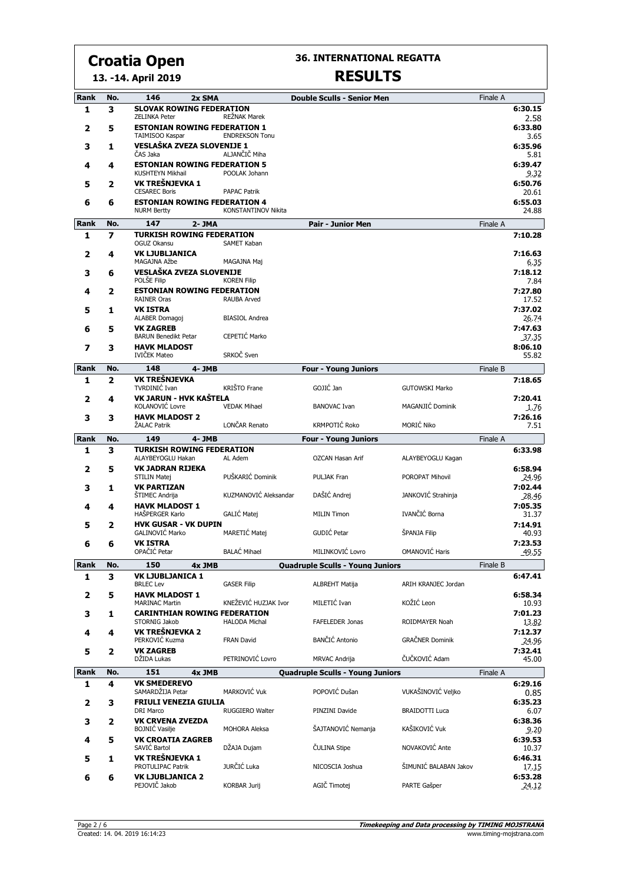**36. INTERNATIONAL REGATTA**

#### **13. -14. April 2019**

| Rank | No. | 146<br>2x SMA                                               |                                                   | <b>Double Sculls - Senior Men</b>       |                        | Finale A |                  |
|------|-----|-------------------------------------------------------------|---------------------------------------------------|-----------------------------------------|------------------------|----------|------------------|
| 1    | з   | <b>SLOVAK ROWING FEDERATION</b><br><b>ZELINKA Peter</b>     | <b>REŽNAK Marek</b>                               |                                         |                        |          | 6:30.15<br>2.58  |
| 2    | 5   | <b>ESTONIAN ROWING FEDERATION 1</b><br>TAIMISOO Kaspar      | <b>ENDREKSON Tonu</b>                             |                                         |                        |          | 6:33.80<br>3.65  |
| 3    | 1   | VESLAŠKA ZVEZA SLOVENIJE 1<br>ČAS Jaka                      | ALJANČIČ Miha                                     |                                         |                        |          | 6:35.96          |
| 4    | 4   | <b>ESTONIAN ROWING FEDERATION 5</b><br>KUSHTEYN Mikhail     | POOLAK Johann                                     |                                         |                        |          | 5.81<br>6:39.47  |
| 5    | 2   | VK TREŠNJEVKA 1                                             |                                                   |                                         |                        |          | 9.32<br>6:50.76  |
| 6    | 6   | <b>CESAREC Boris</b><br><b>ESTONIAN ROWING FEDERATION 4</b> | <b>PAPAC Patrik</b><br><b>KONSTANTINOV Nikita</b> |                                         |                        |          | 20.61<br>6:55.03 |
|      |     | <b>NURM Bertty</b>                                          |                                                   |                                         |                        |          | 24.88            |
| Rank | No. | 147<br>2-JMA<br><b>TURKISH ROWING FEDERATION</b>            |                                                   | Pair - Junior Men                       |                        | Finale A |                  |
| 1    | 7   | OGUZ Okansu                                                 | SAMET Kaban                                       |                                         |                        |          | 7:10.28          |
| 2    | 4   | <b>VK LJUBLJANICA</b><br>MAGAJNA Ažbe                       | MAGAJNA Maj                                       |                                         |                        |          | 7:16.63<br>6.35  |
| 3    | 6   | VESLAŠKA ZVEZA SLOVENIJE<br>POLŠE Filip                     | <b>KOREN Filip</b>                                |                                         |                        |          | 7:18.12<br>7.84  |
| 4    | 2   | <b>ESTONIAN ROWING FEDERATION</b><br><b>RAINER Oras</b>     | <b>RAUBA Arved</b>                                |                                         |                        |          | 7:27.80<br>17.52 |
| 5    | 1   | <b>VK ISTRA</b><br>ALABER Domagoj                           | <b>BIASIOL Andrea</b>                             |                                         |                        |          | 7:37.02<br>26.74 |
| 6    | 5   | <b>VK ZAGREB</b><br><b>BARUN Benedikt Petar</b>             | CEPETIĆ Marko                                     |                                         |                        |          | 7:47.63<br>37.35 |
| 7    | 3   | <b>HAVK MLADOST</b>                                         |                                                   |                                         |                        |          | 8:06.10          |
|      |     | IVIČEK Mateo                                                | SRKOČ Sven                                        |                                         |                        |          | 55.82            |
| Rank | No. | 148<br>4-JMB                                                |                                                   | <b>Four - Young Juniors</b>             |                        | Finale B |                  |
| 1    | 2   | VK TREŠNJEVKA<br>TVRDINIĆ Ivan                              | KRIŠTO Frane                                      | GOJIĆ Jan                               | <b>GUTOWSKI Marko</b>  |          | 7:18.65          |
| 2    | 4   | VK JARUN - HVK KAŠTELA<br>KOLANOVIĆ Lovre                   | <b>VEDAK Mihael</b>                               | <b>BANOVAC Ivan</b>                     | MAGANJIĆ Dominik       |          | 7:20.41<br>1.76  |
| 3    | 3   | <b>HAVK MLADOST 2</b><br>ŽALAC Patrik                       | LONČAR Renato                                     | KRMPOTIĆ Roko                           | MORIĆ Niko             |          | 7:26.16<br>7.51  |
| Rank | No. | 149<br>4-JMB                                                |                                                   | <b>Four - Young Juniors</b>             |                        | Finale A |                  |
| 1    | 3   | <b>TURKISH ROWING FEDERATION</b>                            |                                                   |                                         |                        |          | 6:33.98          |
|      |     | ALAYBEYOGLU Hakan                                           | AL Adem                                           | OZCAN Hasan Arif                        | ALAYBEYOGLU Kagan      |          |                  |
| 2    | 5   | <b>VK JADRAN RIJEKA</b><br>STILIN Matej                     | PUŠKARIĆ Dominik                                  | PULJAK Fran                             | POROPAT Mihovil        |          | 6:58.94<br>24.96 |
| 3    | 1   | <b>VK PARTIZAN</b><br>ŠTIMEC Andrija                        | KUZMANOVIĆ Aleksandar                             | DAŠIĆ Andrej                            | JANKOVIĆ Strahinja     |          | 7:02.44<br>28.46 |
| 4    | 4   | <b>HAVK MLADOST 1</b><br>HAŠPERGER Karlo                    | GALIĆ Matej                                       | <b>MILIN Timon</b>                      | IVANČIĆ Borna          |          | 7:05.35<br>31.37 |
| 5    | 2   | <b>HVK GUSAR - VK DUPIN</b><br>GALINOVIĆ Marko              | <b>MARETIĆ Matej</b>                              | GUDIĆ Petar                             | ŠPANJA Filip           |          | 7:14.91<br>40.93 |
| 6    | 6   | <b>VK ISTRA</b>                                             |                                                   | MILINKOVIĆ Lovro                        |                        |          | 7:23.53          |
|      |     | OPAČIĆ Petar                                                | <b>BALAC Mihael</b>                               |                                         | <b>OMANOVIĆ Haris</b>  |          | 49.55            |
| Rank | No. | 150<br>4x JMB<br><b>VK LJUBLJANICA 1</b>                    |                                                   | <b>Quadruple Sculls - Young Juniors</b> |                        | Finale B | 6:47.41          |
| 1    | 3   | <b>BRLEC Lev</b><br><b>HAVK MLADOST 1</b>                   | <b>GASER Filip</b>                                | <b>ALBREHT Matija</b>                   | ARIH KRANJEC Jordan    |          | 6:58.34          |
| 2    | 5   | <b>MARINAC Martin</b>                                       | KNEŽEVIĆ HUZJAK Ivor                              | MILETIĆ Ivan                            | KOŽIĆ Leon             |          | 10.93            |
| 3    | 1   | <b>CARINTHIAN ROWING FEDERATION</b><br>STORNIG Jakob        | <b>HALODA Michal</b>                              | FAFELEDER Jonas                         | ROIDMAYER Noah         |          | 7:01.23<br>13.82 |
| 4    | 4   | VK TREŠNJEVKA 2<br>PERKOVIĆ Kuzma                           | <b>FRAN David</b>                                 | <b>BANČIĆ Antonio</b>                   | <b>GRAČNER Dominik</b> |          | 7:12.37<br>24.96 |
| 5    | 2   | <b>VK ZAGREB</b><br>DŽIDA Lukas                             | PETRINOVIĆ Lovro                                  | <b>MRVAC Andrija</b>                    | ČUČKOVIĆ Adam          |          | 7:32.41<br>45.00 |
| Rank | No. | 151<br>4x JMB                                               |                                                   | <b>Quadruple Sculls - Young Juniors</b> |                        | Finale A |                  |
| 1    | 4   | <b>VK SMEDEREVO</b>                                         |                                                   |                                         |                        |          | 6:29.16          |
| 2    | 3   | SAMARDŽIJA Petar<br><b>FRIULI VENEZIA GIULIA</b>            | MARKOVIĆ Vuk                                      | POPOVIĆ Dušan                           | VUKAŠINOVIĆ Veliko     |          | 0.85<br>6:35.23  |
|      |     | DRI Marco<br><b>VK CRVENA ZVEZDA</b>                        | RUGGIERO Walter                                   | PINZINI Davide                          | <b>BRAIDOTTI Luca</b>  |          | 6.07<br>6:38.36  |
| З    | 2   | <b>BOJNIC Vasilje</b>                                       | MOHORA Aleksa                                     | ŠAJTANOVIĆ Nemanja                      | KAŠIKOVIĆ Vuk          |          | 9.20             |
| 4    | 5   | <b>VK CROATIA ZAGREB</b><br>SAVIĆ Bartol                    | DŽAJA Dujam                                       | ČULINA Stipe                            | NOVAKOVIĆ Ante         |          | 6:39.53<br>10.37 |
| 5    | 1   | VK TREŠNJEVKA 1<br>PROTULIPAC Patrik                        | JURČIĆ Luka                                       | NICOSCIA Joshua                         | ŠIMUNIĆ BALABAN Jakov  |          | 6:46.31<br>17.15 |
| 6    | 6   | <b>VK LJUBLJANICA 2</b><br>PEJOVIČ Jakob                    | <b>KORBAR Jurij</b>                               | AGIČ Timotej                            | PARTE Gašper           |          | 6:53.28<br>24.12 |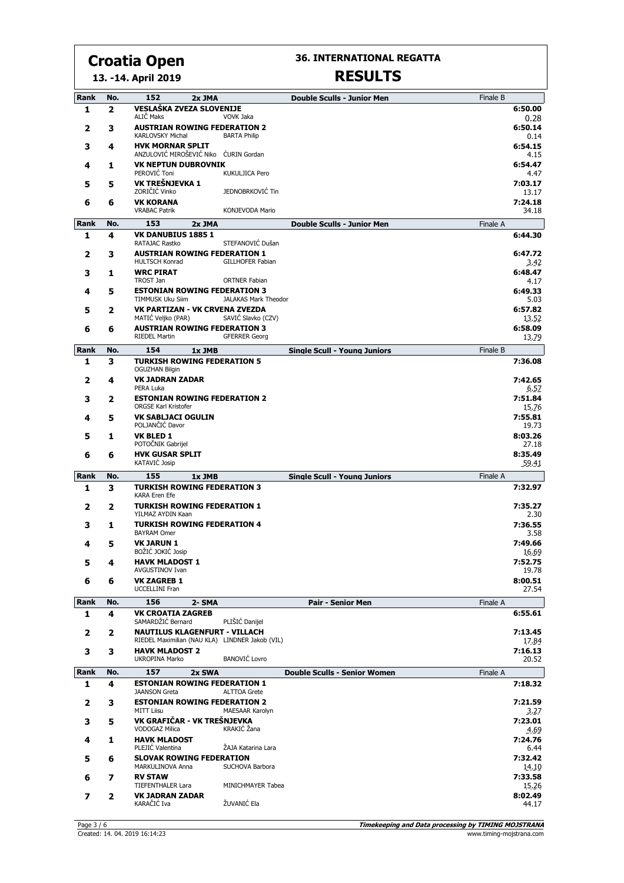**13. -14. April 2019**

#### **36. INTERNATIONAL REGATTA**

| Rank        | No. | 152<br>2x JMA                                                                           |                                         | <b>Double Sculls - Junior Men</b>   | Finale B |                            |
|-------------|-----|-----------------------------------------------------------------------------------------|-----------------------------------------|-------------------------------------|----------|----------------------------|
| 1           | 2   | VESLAŠKA ZVEZA SLOVENIJE                                                                |                                         |                                     |          | 6:50.00                    |
| 2           | 3   | ALIČ Maks<br><b>AUSTRIAN ROWING FEDERATION 2</b><br>KARLOVSKY Michal                    | <b>VOVK Jaka</b><br><b>BARTA Philip</b> |                                     |          | 0.28<br>6:50.14<br>0.14    |
| 3           | 4   | <b>HVK MORNAR SPLIT</b>                                                                 |                                         |                                     |          | 6:54.15                    |
| 4           | 1   | ANZULOVIĆ MIROŠEVIĆ Niko ĆURIN Gordan<br><b>VK NEPTUN DUBROVNIK</b><br>PEROVIĆ Toni     | <b>KUKULJICA Pero</b>                   |                                     |          | $-4.15$<br>6:54.47<br>4.47 |
| 5           | 5   | VK TREŠNJEVKA 1<br>ZORIČIĆ Vinko                                                        | JEDNOBRKOVIĆ Tin                        |                                     |          | 7:03.17<br>13.17           |
| 6           | 6   | <b>VK KORANA</b><br><b>VRABAC Patrik</b>                                                | <b>KONJEVODA Mario</b>                  |                                     |          | 7:24.18<br>34.18           |
| <b>Rank</b> | No. | 153<br>2x JMA                                                                           |                                         | <b>Double Sculls - Junior Men</b>   | Finale A |                            |
| 1           | 4   | <b>VK DANUBIUS 1885 1</b>                                                               |                                         |                                     |          | 6:44.30                    |
| 2           | 3   | RATAJAC Rastko<br><b>AUSTRIAN ROWING FEDERATION 1</b>                                   | STEFANOVIĆ Dušan                        |                                     |          | 6:47.72                    |
| 3           | 1   | <b>HULTSCH Konrad</b><br><b>WRC PIRAT</b>                                               | <b>GILLHOFER Fabian</b>                 |                                     |          | 3.42<br>6:48.47            |
|             |     | <b>TROST Jan</b>                                                                        | <b>ORTNER Fabian</b>                    |                                     |          | 4.17                       |
| 4           | 5   | <b>ESTONIAN ROWING FEDERATION 3</b><br>TIMMUSK Uku Siim                                 | JALAKAS Mark Theodor                    |                                     |          | 6:49.33<br>5.03            |
| 5           | 2   | VK PARTIZAN - VK CRVENA ZVEZDA<br>MATIC Veljko (PAR)                                    | SAVIČ Slavko (CZV)                      |                                     |          | 6:57.82                    |
| 6           | 6   | <b>AUSTRIAN ROWING FEDERATION 3</b>                                                     |                                         |                                     |          | 13.52<br>6:58.09           |
|             |     | <b>RIEDEL Martin</b>                                                                    | <b>GFERRER Georg</b>                    |                                     |          | 13.79                      |
| Rank        | No. | 154<br>1x JMB<br><b>TURKISH ROWING FEDERATION 5</b>                                     |                                         | <b>Single Scull - Young Juniors</b> | Finale B |                            |
| 1           | 3   | <b>OGUZHAN Bilgin</b><br><b>VK JADRAN ZADAR</b>                                         |                                         |                                     |          | 7:36.08<br>7:42.65         |
| 2           | 4   | PERA Luka<br><b>ESTONIAN ROWING FEDERATION 2</b>                                        |                                         |                                     |          | 6.57<br>7:51.84            |
| 3           | 2   | ORGSE Karl Kristofer                                                                    |                                         |                                     |          | 15.76                      |
| 4           | 5   | <b>VK SABLJACI OGULIN</b><br>POLJANČIĆ Davor                                            |                                         |                                     |          | 7:55.81<br>19.73           |
| 5           | 1   | <b>VK BLED 1</b><br>POTOČNIK Gabrijel                                                   |                                         |                                     |          | 8:03.26<br>27.18           |
| 6           | 6   | <b>HVK GUSAR SPLIT</b><br><b>KATAVIĆ Josip</b>                                          |                                         |                                     |          | 8:35.49<br>59.41           |
| Rank        | No. | 155<br>1x JMB                                                                           |                                         | <b>Single Scull - Young Juniors</b> | Finale A |                            |
| 1           | з   | <b>TURKISH ROWING FEDERATION 3</b><br><b>KARA Eren Efe</b>                              |                                         |                                     |          | 7:32.97                    |
| 2           | 2   | <b>TURKISH ROWING FEDERATION 1</b><br>YILMAZ AYDIN Kaan                                 |                                         |                                     |          | 7:35.27<br>2.30            |
| 3           | 1   | <b>TURKISH ROWING FEDERATION 4</b><br><b>BAYRAM Omer</b>                                |                                         |                                     |          | 7:36.55<br>3.58            |
| 4           | 5   | <b>VK JARUN 1</b><br>BOŽIĆ JOKIĆ Josip                                                  |                                         |                                     |          | 7:49.66<br>16.69           |
| э           | 4   | <b>HAVK MLADOST 1</b>                                                                   |                                         |                                     |          | 7:52.75                    |
| 6           | 6   | AVGUSTINOV Ivan<br><b>VK ZAGREB 1</b>                                                   |                                         |                                     |          | 19.78<br>8:00.51           |
|             |     | <b>UCCELLINI Fran</b>                                                                   |                                         |                                     |          | 27.54                      |
| <b>Rank</b> | No. | 156<br>2- SMA                                                                           |                                         | Pair - Senior Men                   | Finale A |                            |
| 1           | 4   | <b>VK CROATIA ZAGREB</b><br>SAMARDŽIĆ Bernard                                           | PLIŠIĆ Danijel                          |                                     |          | 6:55.61                    |
| 2           | 2   | <b>NAUTILUS KLAGENFURT - VILLACH</b><br>RIEDEL Maximilian (NAU KLA) LINDNER Jakob (VIL) |                                         |                                     |          | 7:13.45<br>17.84           |
| 3           | 3   | <b>HAVK MLADOST 2</b><br>UKROPINA Marko                                                 | <b>BANOVIĆ Lovro</b>                    |                                     |          | 7:16.13<br>20.52           |
| Rank        | No. | 157<br>2x SWA                                                                           |                                         | <b>Double Sculls - Senior Women</b> | Finale A |                            |
| 1           | 4   | <b>ESTONIAN ROWING FEDERATION 1</b><br><b>JAANSON Greta</b>                             | <b>ALTTOA Grete</b>                     |                                     |          | 7:18.32                    |
| 2           | 3   | <b>ESTONIAN ROWING FEDERATION 2</b><br><b>MITT Liisu</b>                                | MAESAAR Karolyn                         |                                     |          | 7:21.59<br>3.27            |
| 3           | 5   | VK GRAFIČAR - VK TREŠNJEVKA<br><b>VODOGAZ Milica</b>                                    | KRAKIĆ Žana                             |                                     |          | 7:23.01<br>4.69            |
| 4           | 1   | <b>HAVK MLADOST</b><br>PLEJIC Valentina                                                 | ŽAJA Katarina Lara                      |                                     |          | 7:24.76                    |
| 5           | 6   | <b>SLOVAK ROWING FEDERATION</b><br>MARKULINOVA Anna                                     | SUCHOVA Barbora                         |                                     |          | 6.44<br>7:32.42            |
| 6           | 7   | <b>RV STAW</b>                                                                          |                                         |                                     |          | 14.10<br>7:33.58           |
|             |     | <b>TIEFENTHALER Lara</b><br><b>VK JADRAN ZADAR</b>                                      | MINICHMAYER Tabea                       |                                     |          | 15.26<br>8:02.49           |
| 7           | 2   | KARAČIĆ Iva                                                                             | ŽUVANIĆ Ela                             |                                     |          | 44.17                      |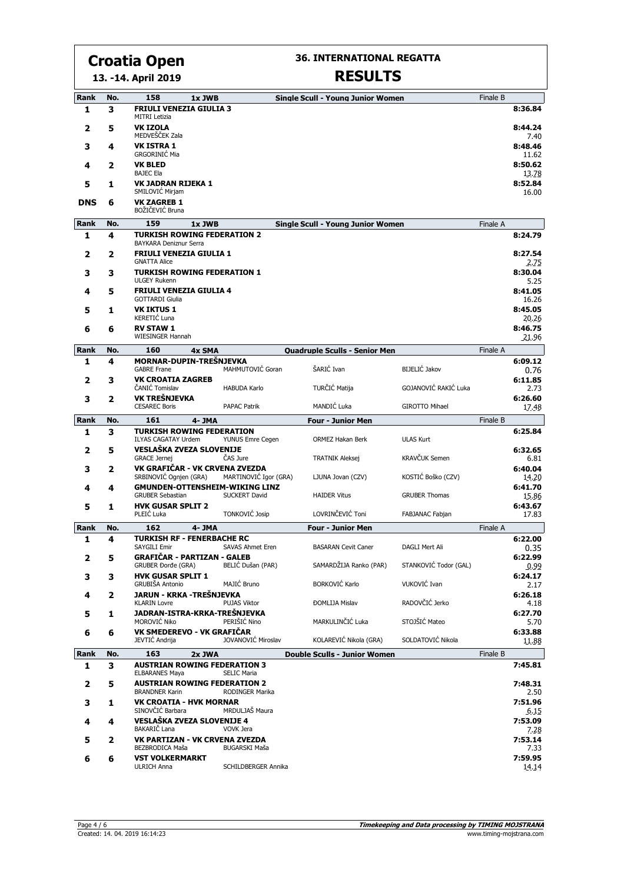**13. -14. April 2019**

#### **36. INTERNATIONAL REGATTA**

| Rank<br>1  | No.<br>3 | 158<br><b>FRIULI VENEZIA GIULIA 3</b>                                           | 1x JWB               |                       | <b>Single Scull - Young Junior Women</b> |                       | Finale B | 8:36.84                 |
|------------|----------|---------------------------------------------------------------------------------|----------------------|-----------------------|------------------------------------------|-----------------------|----------|-------------------------|
| 2          | 5        | <b>MITRI Letizia</b><br><b>VK IZOLA</b>                                         |                      |                       |                                          |                       |          | 8:44.24                 |
| 3          | 4        | MEDVEŠČEK Zala<br><b>VK ISTRA 1</b>                                             |                      |                       |                                          |                       |          | 7.40<br>8:48.46         |
| 4          | 2        | GRGORINIĆ Mia<br><b>VK BLED</b>                                                 |                      |                       |                                          |                       |          | 11.62<br>8:50.62        |
| 5          | 1        | <b>BAJEC Ela</b><br><b>VK JADRAN RIJEKA 1</b>                                   |                      |                       |                                          |                       |          | 13.78<br>8:52.84        |
| <b>DNS</b> | 6        | SMILOVIĆ Mirjam<br><b>VK ZAGREB 1</b><br>BOŽIČEVIĆ Bruna                        |                      |                       |                                          |                       |          | 16.00                   |
| Rank       | No.      | 159                                                                             | 1x JWB               |                       | <b>Single Scull - Young Junior Women</b> |                       | Finale A |                         |
| 1          | 4        | <b>TURKISH ROWING FEDERATION 2</b>                                              |                      |                       |                                          |                       |          | 8:24.79                 |
| 2          | 2        | BAYKARA Deniznur Serra<br><b>FRIULI VENEZIA GIULIA 1</b><br><b>GNATTA Alice</b> |                      |                       |                                          |                       |          | 8:27.54                 |
| 3          | 3        | <b>TURKISH ROWING FEDERATION 1</b><br><b>ULGEY Rukenn</b>                       |                      |                       |                                          |                       |          | 2.75<br>8:30.04<br>5.25 |
| 4          | 5        | <b>FRIULI VENEZIA GIULIA 4</b><br><b>GOTTARDI Giulia</b>                        |                      |                       |                                          |                       |          | 8:41.05<br>16.26        |
| 5          | 1        | <b>VK IKTUS 1</b><br>KERETIĆ Luna                                               |                      |                       |                                          |                       |          | 8:45.05<br>20.26        |
| 6          | 6        | <b>RV STAW 1</b><br><b>WIESINGER Hannah</b>                                     |                      |                       |                                          |                       |          | 8:46.75<br>21.96        |
| Rank       | No.      | 160                                                                             | 4x SMA               |                       | <b>Quadruple Sculls - Senior Men</b>     |                       | Finale A |                         |
| 1          | 4        | MORNAR-DUPIN-TREŠNJEVKA                                                         |                      |                       |                                          |                       |          | 6:09.12                 |
| 2          | 3        | <b>GABRE Frane</b><br><b>VK CROATIA ZAGREB</b>                                  |                      | MAHMUTOVIĆ Goran      | ŠARIĆ Ivan                               | BIJELIĆ Jakov         |          | 0.76<br>6:11.85         |
| 3          | 2        | ČANIĆ Tomislav<br>VK TREŠNJEVKA                                                 | <b>HABUDA Karlo</b>  |                       | TURČIĆ Matija                            | GOJANOVIĆ RAKIĆ Luka  |          | 2.73<br>6:26.60         |
|            |          | <b>CESAREC Boris</b>                                                            | <b>PAPAC Patrik</b>  |                       | MANDIĆ Luka                              | GIROTTO Mihael        |          | 17.48                   |
| Rank       | No.      | 161<br><b>TURKISH ROWING FEDERATION</b>                                         | 4- JMA               |                       | <b>Four - Junior Men</b>                 |                       | Finale B | 6:25.84                 |
| 1          | 3        | <b>ILYAS CAGATAY Urdem</b><br>VESLAŠKA ZVEZA SLOVENIJE                          |                      | YUNUS Emre Cegen      | ORMEZ Hakan Berk                         | <b>ULAS Kurt</b>      |          |                         |
| 2          | 5        | <b>GRACE Jernej</b>                                                             | ČAS Jure             |                       | <b>TRATNIK Aleksej</b>                   | KRAVČUK Semen         |          | 6:32.65<br>6.81         |
| з          | 2        | VK GRAFIČAR - VK CRVENA ZVEZDA<br>SRBINOVIĆ Ognjen (GRA)                        |                      | MARTINOVIĆ Igor (GRA) | LJUNA Jovan (CZV)                        | KOSTIĆ Boško (CZV)    |          | 6:40.04<br>14.20        |
| 4          | 4        | <b>GMUNDEN-OTTENSHEIM-WIKING LINZ</b><br><b>GRUBER Sebastian</b>                | <b>SUCKERT David</b> |                       | <b>HAIDER Vitus</b>                      | <b>GRUBER Thomas</b>  |          | 6:41.70<br>15.86        |
| 5          | 1        | <b>HVK GUSAR SPLIT 2</b><br>PLEIĆ Luka                                          | TONKOVIĆ Josip       |                       | LOVRINČEVIĆ Toni                         | FABJANAC Fabjan       |          | 6:43.67<br>17.83        |
| Rank       | No.      | 162                                                                             | 4-JMA                |                       | <b>Four - Junior Men</b>                 |                       | Finale A |                         |
| 1          | 4        | <b>TURKISH RF - FENERBACHE RC</b><br><b>SAYGILI Emir</b>                        | SAVAS Ahmet Eren     |                       | <b>BASARAN Cevit Caner</b>               | <b>DAGLI Mert Ali</b> |          | 6:22.00<br>0.35         |
| 2          | 5.       | GRAFIČAR - PARTIZAN - GALEB<br>GRUBER Đorđe (GRA)                               | BELIĆ Dušan (PAR)    |                       | SAMARDŽIJA Ranko (PAR)                   | STANKOVIĆ Todor (GAL) |          | 6:22.99<br>0.99         |
| з          | 3        | <b>HVK GUSAR SPLIT 1</b><br>GRUBIŠA Antonio                                     | MAJIĆ Bruno          |                       | <b>BORKOVIĆ Karlo</b>                    | VUKOVIĆ Ivan          |          | 6:24.17<br>2.17         |
| 4          | 2        | JARUN - KRKA -TREŠNJEVKA<br><b>KLARIN Lovre</b>                                 | PUJAS Viktor         |                       | <b>ĐOMLIJA Mislav</b>                    | RADOVČIĆ Jerko        |          | 6:26.18<br>4.18         |
| 5          | 1        | JADRAN-ISTRA-KRKA-TREŠNJEVKA<br>MOROVIĆ Niko                                    | PERIŠIĆ Nino         |                       | MARKULINČIĆ Luka                         | STOJŠIĆ Mateo         |          | 6:27.70<br>5.70         |
| 6          | 6        | VK SMEDEREVO - VK GRAFIČAR<br>JEVTIĆ Andrija                                    |                      | JOVANOVIĆ Miroslav    | KOLAREVIĆ Nikola (GRA)                   | SOLDATOVIĆ Nikola     |          | 6:33.88<br>11.88        |
| Rank       | No.      | 163                                                                             | 2x JWA               |                       | <b>Double Sculls - Junior Women</b>      |                       | Finale B |                         |
| 1          | 3        | <b>AUSTRIAN ROWING FEDERATION 3</b><br><b>ELBARANES Maya</b>                    | <b>SELIC Maria</b>   |                       |                                          |                       |          | 7:45.81                 |
| 2          | 5        | <b>AUSTRIAN ROWING FEDERATION 2</b><br><b>BRANDNER Karin</b>                    | RODINGER Marika      |                       |                                          |                       |          | 7:48.31<br>2.50         |
| 3          | 1        | VK CROATIA - HVK MORNAR<br>SINOVČIĆ Barbara                                     | MRDULJAŠ Maura       |                       |                                          |                       |          | 7:51.96                 |
| 4          | 4        | VESLAŠKA ZVEZA SLOVENIJE 4<br>BAKARIČ Lana                                      | VOVK Jera            |                       |                                          |                       |          | 6.15<br>7:53.09         |
| 5          | 2        | VK PARTIZAN - VK CRVENA ZVEZDA<br>BEZBRODICA Maša                               | <b>BUGARSKI Maša</b> |                       |                                          |                       |          | 7.28<br>7:53.14<br>7.33 |
| 6          | 6        | <b>VST VOLKERMARKT</b><br><b>ULRICH Anna</b>                                    |                      | SCHILDBERGER Annika   |                                          |                       |          | 7:59.95<br>14.14        |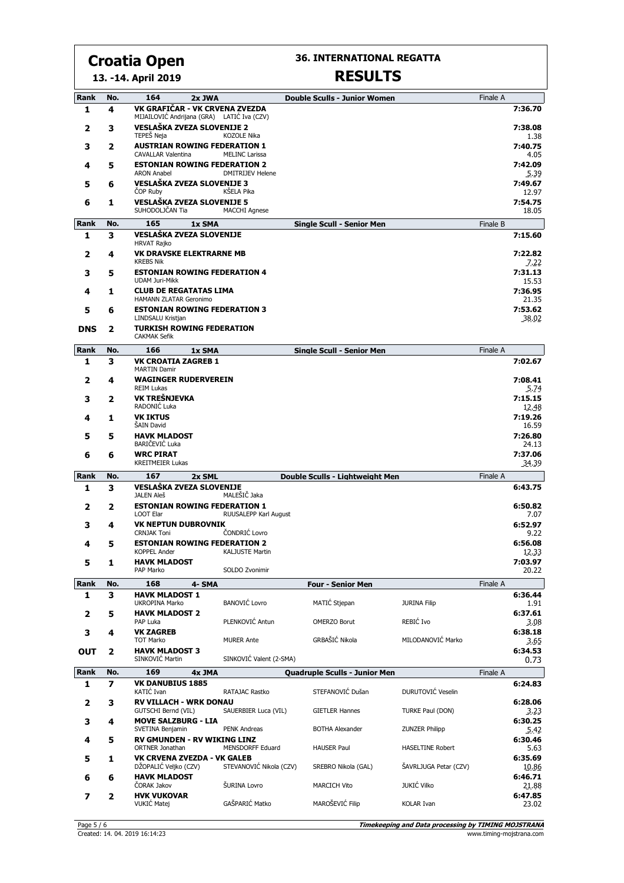**36. INTERNATIONAL REGATTA**

#### **13. -14. April 2019**

| Rank | No.                     | 164<br>2x JWA                                                                |                         | <b>Double Sculls - Junior Women</b>  |                         | Finale A |                  |
|------|-------------------------|------------------------------------------------------------------------------|-------------------------|--------------------------------------|-------------------------|----------|------------------|
| 1    | 4                       | VK GRAFIČAR - VK CRVENA ZVEZDA<br>MIJAILOVIĆ Andrijana (GRA) LATIĆ Iva (CZV) |                         |                                      |                         |          | 7:36.70          |
| 2    | з                       | <b>VESLAŠKA ZVEZA SLOVENIJE 2</b><br>TEPEŠ Neja                              | <b>KOZOLE Nika</b>      |                                      |                         |          | 7:38.08<br>1.38  |
| 3    | 2                       | <b>AUSTRIAN ROWING FEDERATION 1</b>                                          |                         |                                      |                         |          | 7:40.75          |
| 4    | 5                       | <b>CAVALLAR Valentina</b><br><b>ESTONIAN ROWING FEDERATION 2</b>             | <b>MELINC Larissa</b>   |                                      |                         |          | 4.05<br>7:42.09  |
|      |                         | <b>ARON Anabel</b>                                                           | <b>DMITRIJEV Helene</b> |                                      |                         |          | 5.39             |
| 5    | 6                       | VESLAŠKA ZVEZA SLOVENIJE 3<br><b>COP Ruby</b>                                | KŠELA Pika              |                                      |                         |          | 7:49.67<br>12.97 |
| 6    | 1                       | VESLAŠKA ZVEZA SLOVENIJE 5<br>SUHODOLJČAN Tia                                | <b>MACCHI Agnese</b>    |                                      |                         |          | 7:54.75<br>18.05 |
| Rank | No.                     | 165<br>1x SMA                                                                |                         | <b>Single Scull - Senior Men</b>     |                         | Finale B |                  |
| 1    | 3                       | VESLAŠKA ZVEZA SLOVENIJE<br><b>HRVAT Rajko</b>                               |                         |                                      |                         |          | 7:15.60          |
| 2    | 4                       | <b>VK DRAVSKE ELEKTRARNE MB</b><br><b>KREBS Nik</b>                          |                         |                                      |                         |          | 7:22.82<br>7.22  |
| 3    | 5                       | <b>ESTONIAN ROWING FEDERATION 4</b><br><b>UDAM Juri-Mikk</b>                 |                         |                                      |                         |          | 7:31.13<br>15.53 |
| 4    | 1                       | <b>CLUB DE REGATATAS LIMA</b><br>HAMANN ZLATAR Geronimo                      |                         |                                      |                         |          | 7:36.95<br>21.35 |
| 5    | 6                       | <b>ESTONIAN ROWING FEDERATION 3</b><br>LINDSALU Kristjan                     |                         |                                      |                         |          | 7:53.62<br>38.02 |
| DNS  | 2                       | <b>TURKISH ROWING FEDERATION</b><br><b>CAKMAK Sefik</b>                      |                         |                                      |                         |          |                  |
| Rank | No.                     | 166<br>1x SMA                                                                |                         | <b>Single Scull - Senior Men</b>     |                         | Finale A |                  |
| 1    | з                       | <b>VK CROATIA ZAGREB 1</b><br><b>MARTIN Damir</b>                            |                         |                                      |                         |          | 7:02.67          |
| 2    | 4                       | <b>WAGINGER RUDERVEREIN</b><br><b>REIM Lukas</b>                             |                         |                                      |                         |          | 7:08.41<br>5.74  |
| 3    | 2                       | VK TREŠNJEVKA<br>RADONIĆ Luka                                                |                         |                                      |                         |          | 7:15.15<br>12.48 |
| 4    | 1                       | <b>VK IKTUS</b><br>ŠAIN David                                                |                         |                                      |                         |          | 7:19.26<br>16.59 |
| 5    | 5                       | <b>HAVK MLADOST</b><br>BARIČEVIĆ Luka                                        |                         |                                      |                         |          | 7:26.80          |
| 6    | 6                       | <b>WRC PIRAT</b>                                                             |                         |                                      |                         |          | 24.13<br>7:37.06 |
| Rank | No.                     | <b>KREITMEIER Lukas</b><br>167<br>2x SML                                     |                         | Double Sculls - Lightweight Men      |                         | Finale A | 34.39            |
| 1    | 3                       | VESLAŠKA ZVEZA SLOVENIJE                                                     |                         |                                      |                         |          | 6:43.75          |
| 2    | 2                       | <b>JALEN Aleš</b><br><b>ESTONIAN ROWING FEDERATION 1</b>                     | MALEŠIČ Jaka            |                                      |                         |          | 6:50.82          |
|      |                         | <b>LOOT Elar</b>                                                             | RUUSALEPP Karl August   |                                      |                         |          | 7.07             |
| 3    | 4                       | <b>VK NEPTUN DUBROVNIK</b><br><b>CRNJAK Toni</b>                             | ČONDRIĆ Lovro           |                                      |                         |          | 6:52.97<br>9.22  |
| 4    | 5                       | <b>ESTONIAN ROWING FEDERATION 2</b><br>KOPPEL Ander                          | KALJUSTE Martin         |                                      |                         |          | 6:56.08<br>12.33 |
| 5    | 1                       | <b>HAVK MLADOST</b><br>PAP Marko                                             |                         |                                      |                         |          | 7:03.97          |
| Rank | No.                     | 168<br>4- SMA                                                                | SOLDO Zvonimir          | <b>Four - Senior Men</b>             |                         | Finale A | 20.22            |
| 1    | 3                       | <b>HAVK MLADOST 1</b>                                                        |                         |                                      |                         |          | 6:36.44          |
| 2    | 5                       | UKROPINA Marko<br><b>HAVK MLADOST 2</b>                                      | <b>BANOVIĆ Lovro</b>    | MATIĆ Stjepan                        | <b>JURINA Filip</b>     |          | 1.91<br>6:37.61  |
|      |                         | PAP Luka                                                                     | PLENKOVIĆ Antun         | <b>OMERZO Borut</b>                  | REBIĆ Ivo               |          | 3.08             |
| 3    | 4                       | <b>VK ZAGREB</b><br><b>TOT Marko</b>                                         | <b>MURER Ante</b>       | GRBAŠIĆ Nikola                       | MILODANOVIĆ Marko       |          | 6:38.18<br>3.65  |
| ΟUΤ  | 2                       | <b>HAVK MLADOST 3</b><br>SINKOVIĆ Martin                                     | SINKOVIĆ Valent (2-SMA) |                                      |                         |          | 6:34.53<br>0.73  |
| Rank | No.                     | 169<br>4x JMA                                                                |                         | <b>Quadruple Sculls - Junior Men</b> |                         | Finale A |                  |
| 1    | 7                       | <b>VK DANUBIUS 1885</b><br>KATIĆ Ivan                                        | RATAJAC Rastko          | STEFANOVIĆ Dušan                     | DURUTOVIĆ Veselin       |          | 6:24.83          |
| 2    | з                       | <b>RV VILLACH - WRK DONAU</b><br>GUTSCHI Bernd (VIL)                         | SAUERBIER Luca (VIL)    | <b>GIETLER Hannes</b>                | TURKE Paul (DON)        |          | 6:28.06<br>3.23  |
| з    | 4                       | <b>MOVE SALZBURG - LIA</b><br>SVETINA Benjamin                               | PENK Andreas            | <b>BOTHA Alexander</b>               | <b>ZUNZER Philipp</b>   |          | 6:30.25<br>5.42  |
| 4    | 5                       | <b>RV GMUNDEN - RV WIKING LINZ</b><br>ORTNER Jonathan                        | MENSDORFF Eduard        | <b>HAUSER Paul</b>                   | <b>HASELTINE Robert</b> |          | 6:30.46<br>5.63  |
| 5    | 1                       | VK CRVENA ZVEZDA - VK GALEB<br>DŽOPALIĆ Veljko (CZV)                         | STEVANOVIĆ Nikola (CZV) | SREBRO Nikola (GAL)                  | ŠAVRLJUGA Petar (CZV)   |          | 6:35.69<br>10.86 |
| 6    | 6                       | <b>HAVK MLADOST</b><br>ČORAK Jakov                                           | ŠURINA Lovro            | <b>MARCICH Vito</b>                  | <b>JUKIĆ Vilko</b>      |          | 6:46.71<br>21.88 |
| 7    | $\overline{\mathbf{2}}$ | <b>HVK VUKOVAR</b><br>VUKIĆ Matej                                            | GAŠPARIĆ Matko          | MAROŠEVIĆ Filip                      | KOLAR Ivan              |          | 6:47.85<br>23.02 |
|      |                         |                                                                              |                         |                                      |                         |          |                  |